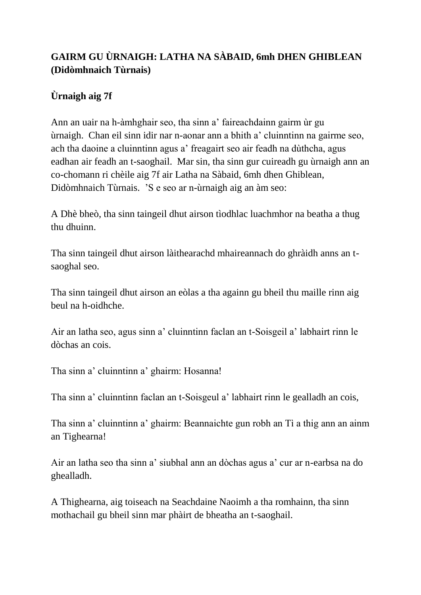## **GAIRM GU ÙRNAIGH: LATHA NA SÀBAID, 6mh DHEN GHIBLEAN (Didòmhnaich Tùrnais)**

## **Ùrnaigh aig 7f**

Ann an uair na h-àmhghair seo, tha sinn a' faireachdainn gairm ùr gu ùrnaigh. Chan eil sinn idir nar n-aonar ann a bhith a' cluinntinn na gairme seo, ach tha daoine a cluinntinn agus a' freagairt seo air feadh na dùthcha, agus eadhan air feadh an t-saoghail. Mar sin, tha sinn gur cuireadh gu ùrnaigh ann an co-chomann ri chèile aig 7f air Latha na Sàbaid, 6mh dhen Ghiblean, Didòmhnaich Tùrnais. 'S e seo ar n-ùrnaigh aig an àm seo:

A Dhè bheò, tha sinn taingeil dhut airson tìodhlac luachmhor na beatha a thug thu dhuinn.

Tha sinn taingeil dhut airson làithearachd mhaireannach do ghràidh anns an tsaoghal seo.

Tha sinn taingeil dhut airson an eòlas a tha againn gu bheil thu maille rinn aig beul na h-oidhche.

Air an latha seo, agus sinn a' cluinntinn faclan an t-Soisgeil a' labhairt rinn le dòchas an cois.

Tha sinn a' cluinntinn a' ghairm: Hosanna!

Tha sinn a' cluinntinn faclan an t-Soisgeul a' labhairt rinn le gealladh an cois,

Tha sinn a' cluinntinn a' ghairm: Beannaichte gun robh an Tì a thig ann an ainm an Tighearna!

Air an latha seo tha sinn a' siubhal ann an dòchas agus a' cur ar n-earbsa na do ghealladh.

A Thighearna, aig toiseach na Seachdaine Naoimh a tha romhainn, tha sinn mothachail gu bheil sinn mar phàirt de bheatha an t-saoghail.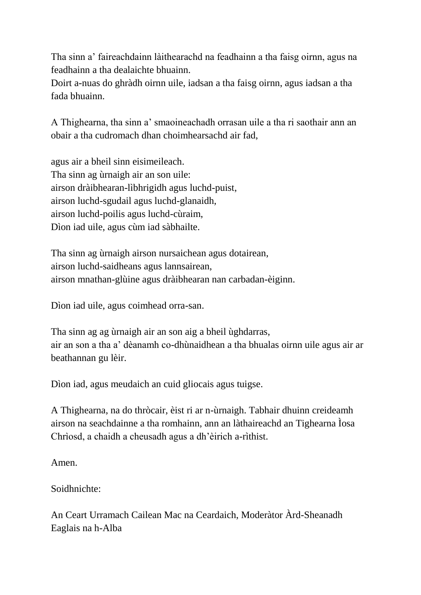Tha sinn a' faireachdainn làithearachd na feadhainn a tha faisg oirnn, agus na feadhainn a tha dealaichte bhuainn.

Doirt a-nuas do ghràdh oirnn uile, iadsan a tha faisg oirnn, agus iadsan a tha fada bhuainn.

A Thighearna, tha sinn a' smaoineachadh orrasan uile a tha ri saothair ann an obair a tha cudromach dhan choimhearsachd air fad,

agus air a bheil sinn eisimeileach. Tha sinn ag ùrnaigh air an son uile: airson dràibhearan-lìbhrigidh agus luchd-puist, airson luchd-sgudail agus luchd-glanaidh, airson luchd-poilis agus luchd-cùraim, Dìon iad uile, agus cùm iad sàbhailte.

Tha sinn ag ùrnaigh airson nursaichean agus dotairean, airson luchd-saidheans agus lannsairean, airson mnathan-glùine agus dràibhearan nan carbadan-èiginn.

Dìon iad uile, agus coimhead orra-san.

Tha sinn ag ag ùrnaigh air an son aig a bheil ùghdarras, air an son a tha a' dèanamh co-dhùnaidhean a tha bhualas oirnn uile agus air ar beathannan gu lèir.

Dìon iad, agus meudaich an cuid gliocais agus tuigse.

A Thighearna, na do thròcair, èist ri ar n-ùrnaigh. Tabhair dhuinn creideamh airson na seachdainne a tha romhainn, ann an làthaireachd an Tighearna Ìosa Chrìosd, a chaidh a cheusadh agus a dh'èirich a-rìthist.

Amen.

Soidhnichte:

An Ceart Urramach Cailean Mac na Ceardaich, Moderàtor Àrd-Sheanadh Eaglais na h-Alba